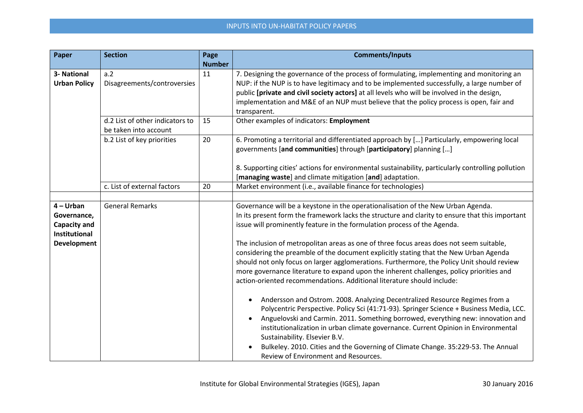## INPUTS INTO UN-HABITAT POLICY PAPERS

| Paper                                | <b>Section</b>                  | Page          | <b>Comments/Inputs</b>                                                                                                                                                 |
|--------------------------------------|---------------------------------|---------------|------------------------------------------------------------------------------------------------------------------------------------------------------------------------|
|                                      |                                 | <b>Number</b> |                                                                                                                                                                        |
| 3- National                          | a.2                             | 11            | 7. Designing the governance of the process of formulating, implementing and monitoring an                                                                              |
| <b>Urban Policy</b>                  | Disagreements/controversies     |               | NUP: if the NUP is to have legitimacy and to be implemented successfully, a large number of                                                                            |
|                                      |                                 |               | public [private and civil society actors] at all levels who will be involved in the design,                                                                            |
|                                      |                                 |               | implementation and M&E of an NUP must believe that the policy process is open, fair and<br>transparent.                                                                |
|                                      | d.2 List of other indicators to | 15            | Other examples of indicators: Employment                                                                                                                               |
|                                      | be taken into account           |               |                                                                                                                                                                        |
|                                      | b.2 List of key priorities      | 20            | 6. Promoting a territorial and differentiated approach by [] Particularly, empowering local<br>governments [and communities] through [participatory] planning []       |
|                                      |                                 |               | 8. Supporting cities' actions for environmental sustainability, particularly controlling pollution                                                                     |
|                                      |                                 |               | [managing waste] and climate mitigation [and] adaptation.                                                                                                              |
|                                      | c. List of external factors     | 20            | Market environment (i.e., available finance for technologies)                                                                                                          |
|                                      |                                 |               |                                                                                                                                                                        |
| $4 - Urban$                          | <b>General Remarks</b>          |               | Governance will be a keystone in the operationalisation of the New Urban Agenda.                                                                                       |
| Governance,                          |                                 |               | In its present form the framework lacks the structure and clarity to ensure that this important                                                                        |
| <b>Capacity and</b><br>Institutional |                                 |               | issue will prominently feature in the formulation process of the Agenda.                                                                                               |
| <b>Development</b>                   |                                 |               | The inclusion of metropolitan areas as one of three focus areas does not seem suitable,                                                                                |
|                                      |                                 |               | considering the preamble of the document explicitly stating that the New Urban Agenda                                                                                  |
|                                      |                                 |               | should not only focus on larger agglomerations. Furthermore, the Policy Unit should review                                                                             |
|                                      |                                 |               | more governance literature to expand upon the inherent challenges, policy priorities and                                                                               |
|                                      |                                 |               | action-oriented recommendations. Additional literature should include:                                                                                                 |
|                                      |                                 |               | Andersson and Ostrom. 2008. Analyzing Decentralized Resource Regimes from a                                                                                            |
|                                      |                                 |               | Polycentric Perspective. Policy Sci (41:71-93). Springer Science + Business Media, LCC.                                                                                |
|                                      |                                 |               | Anguelovski and Carmin. 2011. Something borrowed, everything new: innovation and<br>institutionalization in urban climate governance. Current Opinion in Environmental |
|                                      |                                 |               | Sustainability. Elsevier B.V.                                                                                                                                          |
|                                      |                                 |               | Bulkeley. 2010. Cities and the Governing of Climate Change. 35:229-53. The Annual                                                                                      |
|                                      |                                 |               | Review of Environment and Resources.                                                                                                                                   |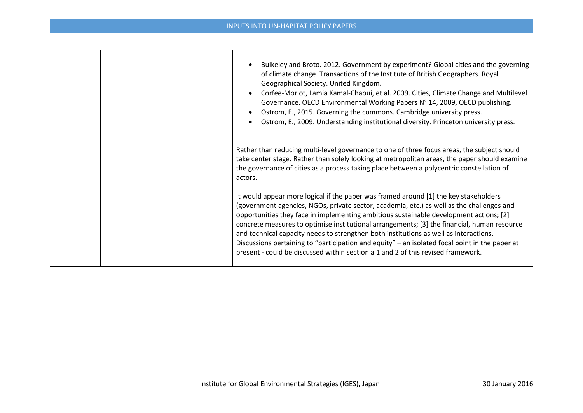## INPUTS INTO UN-HABITAT POLICY PAPERS

| Bulkeley and Broto. 2012. Government by experiment? Global cities and the governing<br>of climate change. Transactions of the Institute of British Geographers. Royal<br>Geographical Society. United Kingdom.<br>Corfee-Morlot, Lamia Kamal-Chaoui, et al. 2009. Cities, Climate Change and Multilevel<br>Governance. OECD Environmental Working Papers N° 14, 2009, OECD publishing.<br>Ostrom, E., 2015. Governing the commons. Cambridge university press.<br>Ostrom, E., 2009. Understanding institutional diversity. Princeton university press.                                                                                                    |
|-----------------------------------------------------------------------------------------------------------------------------------------------------------------------------------------------------------------------------------------------------------------------------------------------------------------------------------------------------------------------------------------------------------------------------------------------------------------------------------------------------------------------------------------------------------------------------------------------------------------------------------------------------------|
| Rather than reducing multi-level governance to one of three focus areas, the subject should<br>take center stage. Rather than solely looking at metropolitan areas, the paper should examine<br>the governance of cities as a process taking place between a polycentric constellation of<br>actors.                                                                                                                                                                                                                                                                                                                                                      |
| It would appear more logical if the paper was framed around [1] the key stakeholders<br>(government agencies, NGOs, private sector, academia, etc.) as well as the challenges and<br>opportunities they face in implementing ambitious sustainable development actions; [2]<br>concrete measures to optimise institutional arrangements; [3] the financial, human resource<br>and technical capacity needs to strengthen both institutions as well as interactions.<br>Discussions pertaining to "participation and equity" - an isolated focal point in the paper at<br>present - could be discussed within section a 1 and 2 of this revised framework. |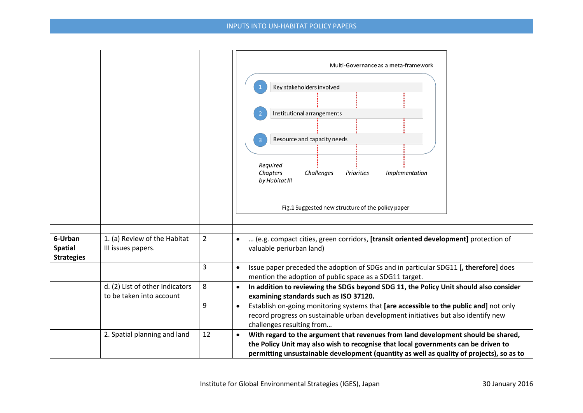|                                                |                                                             |                | Multi-Governance as a meta-framework<br>Key stakeholders involved<br>Institutional arrangements<br>Resource and capacity needs<br>Required<br>Chapters<br>Challenges<br>Priorities<br>Implementation<br>by Habitat III<br>Fig.1 Suggested new structure of the policy paper      |
|------------------------------------------------|-------------------------------------------------------------|----------------|----------------------------------------------------------------------------------------------------------------------------------------------------------------------------------------------------------------------------------------------------------------------------------|
| 6-Urban<br><b>Spatial</b><br><b>Strategies</b> | 1. (a) Review of the Habitat<br>III issues papers.          | $\overline{2}$ | (e.g. compact cities, green corridors, [transit oriented development] protection of<br>valuable periurban land)                                                                                                                                                                  |
|                                                |                                                             | 3              | Issue paper preceded the adoption of SDGs and in particular SDG11 [, therefore] does<br>$\bullet$<br>mention the adoption of public space as a SDG11 target.                                                                                                                     |
|                                                | d. (2) List of other indicators<br>to be taken into account | 8              | In addition to reviewing the SDGs beyond SDG 11, the Policy Unit should also consider<br>$\bullet$<br>examining standards such as ISO 37120.                                                                                                                                     |
|                                                |                                                             | 9              | Establish on-going monitoring systems that [are accessible to the public and] not only<br>$\bullet$<br>record progress on sustainable urban development initiatives but also identify new<br>challenges resulting from                                                           |
|                                                | 2. Spatial planning and land                                | 12             | With regard to the argument that revenues from land development should be shared,<br>$\bullet$<br>the Policy Unit may also wish to recognise that local governments can be driven to<br>permitting unsustainable development (quantity as well as quality of projects), so as to |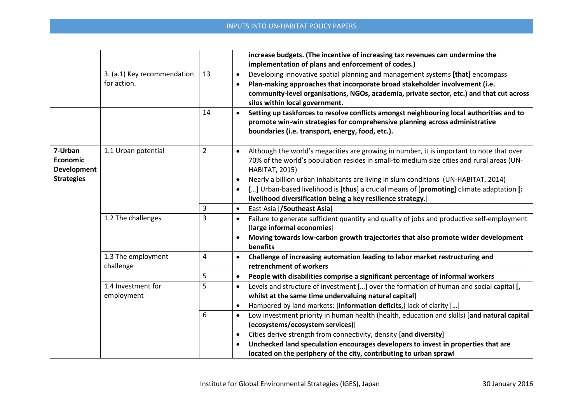|                    |                             |                | increase budgets. (The incentive of increasing tax revenues can undermine the                            |
|--------------------|-----------------------------|----------------|----------------------------------------------------------------------------------------------------------|
|                    |                             |                | implementation of plans and enforcement of codes.)                                                       |
|                    | 3. (a.1) Key recommendation | 13             | Developing innovative spatial planning and management systems [that] encompass<br>$\bullet$              |
|                    | for action.                 |                | Plan-making approaches that incorporate broad stakeholder involvement (i.e.                              |
|                    |                             |                | community-level organisations, NGOs, academia, private sector, etc.) and that cut across                 |
|                    |                             |                | silos within local government.                                                                           |
|                    |                             | 14             | Setting up taskforces to resolve conflicts amongst neighbouring local authorities and to<br>$\bullet$    |
|                    |                             |                | promote win-win strategies for comprehensive planning across administrative                              |
|                    |                             |                | boundaries (i.e. transport, energy, food, etc.).                                                         |
|                    |                             |                |                                                                                                          |
| 7-Urban            | 1.1 Urban potential         | $\overline{2}$ | Although the world's megacities are growing in number, it is important to note that over<br>$\bullet$    |
| <b>Economic</b>    |                             |                | 70% of the world's population resides in small-to medium size cities and rural areas (UN-                |
| <b>Development</b> |                             |                | <b>HABITAT, 2015)</b>                                                                                    |
| <b>Strategies</b>  |                             |                | Nearly a billion urban inhabitants are living in slum conditions (UN-HABITAT, 2014)<br>$\bullet$         |
|                    |                             |                | [] Urban-based livelihood is [thus] a crucial means of [promoting] climate adaptation [:                 |
|                    |                             |                | livelihood diversification being a key resilience strategy.]                                             |
|                    |                             | 3              | East Asia [/Southeast Asia]<br>$\bullet$                                                                 |
|                    | 1.2 The challenges          | 3              | Failure to generate sufficient quantity and quality of jobs and productive self-employment<br>$\bullet$  |
|                    |                             |                | [large informal economies]                                                                               |
|                    |                             |                | Moving towards low-carbon growth trajectories that also promote wider development<br>$\bullet$           |
|                    |                             |                | benefits                                                                                                 |
|                    | 1.3 The employment          | 4              | Challenge of increasing automation leading to labor market restructuring and                             |
|                    | challenge                   |                | retrenchment of workers                                                                                  |
|                    |                             | 5              | People with disabilities comprise a significant percentage of informal workers<br>$\bullet$              |
|                    | 1.4 Investment for          | 5              | Levels and structure of investment [] over the formation of human and social capital [,<br>$\bullet$     |
|                    | employment                  |                | whilst at the same time undervaluing natural capital]                                                    |
|                    |                             |                | Hampered by land markets: [Information deficits,] lack of clarity []<br>$\bullet$                        |
|                    |                             | 6              | Low investment priority in human health (health, education and skills) [and natural capital<br>$\bullet$ |
|                    |                             |                | (ecosystems/ecosystem services)]                                                                         |
|                    |                             | $\bullet$      | Cities derive strength from connectivity, density [and diversity]                                        |
|                    |                             |                | Unchecked land speculation encourages developers to invest in properties that are                        |
|                    |                             |                | located on the periphery of the city, contributing to urban sprawl                                       |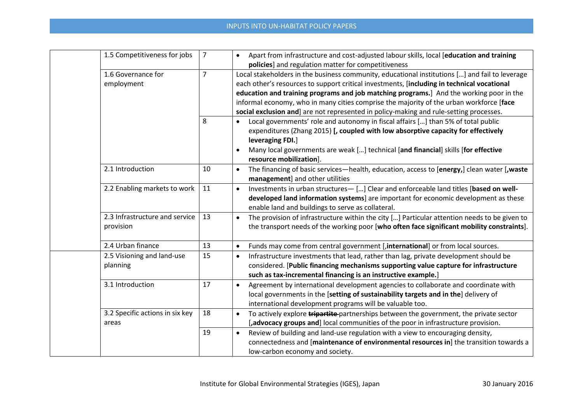## INPUTS INTO UN-HABITAT POLICY PAPERS

|  | 1.5 Competitiveness for jobs    | $\overline{7}$ | Apart from infrastructure and cost-adjusted labour skills, local [education and training<br>$\bullet$       |
|--|---------------------------------|----------------|-------------------------------------------------------------------------------------------------------------|
|  |                                 |                | policies] and regulation matter for competitiveness                                                         |
|  | 1.6 Governance for              | $\overline{7}$ | Local stakeholders in the business community, educational institutions [] and fail to leverage              |
|  | employment                      |                | each other's resources to support critical investments, [including in technical vocational                  |
|  |                                 |                | education and training programs and job matching programs.] And the working poor in the                     |
|  |                                 |                | informal economy, who in many cities comprise the majority of the urban workforce [face                     |
|  |                                 |                | social exclusion and] are not represented in policy-making and rule-setting processes.                      |
|  |                                 | 8              | Local governments' role and autonomy in fiscal affairs [] than 5% of total public                           |
|  |                                 |                | expenditures (Zhang 2015) [, coupled with low absorptive capacity for effectively                           |
|  |                                 |                | leveraging FDI.]                                                                                            |
|  |                                 |                | Many local governments are weak [] technical [and financial] skills [for effective<br>$\bullet$             |
|  |                                 |                | resource mobilization].                                                                                     |
|  | 2.1 Introduction                | 10             | The financing of basic services-health, education, access to [energy,] clean water [,waste<br>$\bullet$     |
|  |                                 |                | management] and other utilities                                                                             |
|  | 2.2 Enabling markets to work    | 11             | Investments in urban structures-[] Clear and enforceable land titles [based on well-<br>$\bullet$           |
|  |                                 |                | developed land information systems] are important for economic development as these                         |
|  |                                 |                | enable land and buildings to serve as collateral.                                                           |
|  | 2.3 Infrastructure and service  | 13             | The provision of infrastructure within the city [] Particular attention needs to be given to<br>$\bullet$   |
|  | provision                       |                | the transport needs of the working poor [who often face significant mobility constraints].                  |
|  |                                 |                |                                                                                                             |
|  | 2.4 Urban finance               | 13             | Funds may come from central government [,international] or from local sources.<br>$\bullet$                 |
|  | 2.5 Visioning and land-use      | 15             | Infrastructure investments that lead, rather than lag, private development should be<br>$\bullet$           |
|  | planning                        |                | considered. [Public financing mechanisms supporting value capture for infrastructure                        |
|  |                                 |                | such as tax-incremental financing is an instructive example.                                                |
|  | 3.1 Introduction                | 17             | Agreement by international development agencies to collaborate and coordinate with<br>$\bullet$             |
|  |                                 |                | local governments in the [setting of sustainability targets and in the] delivery of                         |
|  |                                 |                | international development programs will be valuable too.                                                    |
|  | 3.2 Specific actions in six key | 18             | To actively explore <b>tripartite</b> -partnerships between the government, the private sector<br>$\bullet$ |
|  | areas                           |                | [,advocacy groups and] local communities of the poor in infrastructure provision.                           |
|  |                                 | 19             | Review of building and land-use regulation with a view to encouraging density,<br>$\bullet$                 |
|  |                                 |                | connectedness and [maintenance of environmental resources in] the transition towards a                      |
|  |                                 |                | low-carbon economy and society.                                                                             |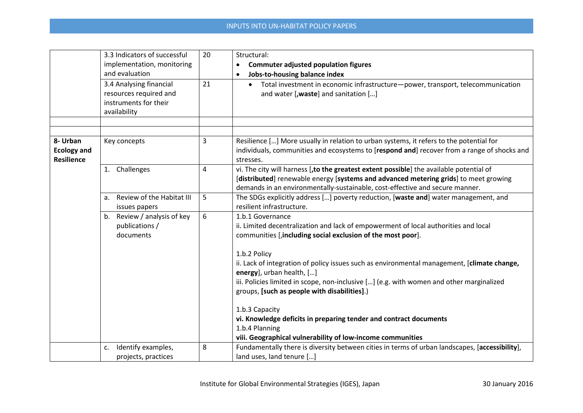|                                                     | 3.3 Indicators of successful<br>implementation, monitoring<br>and evaluation<br>3.4 Analysing financial<br>resources required and<br>instruments for their<br>availability | 20<br>21 | Structural:<br><b>Commuter adjusted population figures</b><br>Jobs-to-housing balance index<br>Total investment in economic infrastructure-power, transport, telecommunication<br>$\bullet$<br>and water [, waste] and sanitation []                                                                                                                                                                                                                                                                                                                                                                                                  |
|-----------------------------------------------------|----------------------------------------------------------------------------------------------------------------------------------------------------------------------------|----------|---------------------------------------------------------------------------------------------------------------------------------------------------------------------------------------------------------------------------------------------------------------------------------------------------------------------------------------------------------------------------------------------------------------------------------------------------------------------------------------------------------------------------------------------------------------------------------------------------------------------------------------|
| 8- Urban<br><b>Ecology and</b><br><b>Resilience</b> | Key concepts                                                                                                                                                               | 3        | Resilience [] More usually in relation to urban systems, it refers to the potential for<br>individuals, communities and ecosystems to [respond and] recover from a range of shocks and<br>stresses.                                                                                                                                                                                                                                                                                                                                                                                                                                   |
|                                                     | 1. Challenges                                                                                                                                                              | 4        | vi. The city will harness [, to the greatest extent possible] the available potential of<br>[distributed] renewable energy [systems and advanced metering grids] to meet growing<br>demands in an environmentally-sustainable, cost-effective and secure manner.                                                                                                                                                                                                                                                                                                                                                                      |
|                                                     | Review of the Habitat III<br>a.<br>issues papers                                                                                                                           | 5        | The SDGs explicitly address [] poverty reduction, [waste and] water management, and<br>resilient infrastructure.                                                                                                                                                                                                                                                                                                                                                                                                                                                                                                                      |
|                                                     | b. Review / analysis of key<br>publications /<br>documents                                                                                                                 | 6        | 1.b.1 Governance<br>ii. Limited decentralization and lack of empowerment of local authorities and local<br>communities [,including social exclusion of the most poor].<br>1.b.2 Policy<br>ii. Lack of integration of policy issues such as environmental management, [climate change,<br>energy], urban health, []<br>iii. Policies limited in scope, non-inclusive [] (e.g. with women and other marginalized<br>groups, [such as people with disabilities].)<br>1.b.3 Capacity<br>vi. Knowledge deficits in preparing tender and contract documents<br>1.b.4 Planning<br>viii. Geographical vulnerability of low-income communities |
|                                                     | Identify examples,<br>C.<br>projects, practices                                                                                                                            | 8        | Fundamentally there is diversity between cities in terms of urban landscapes, [accessibility],<br>land uses, land tenure []                                                                                                                                                                                                                                                                                                                                                                                                                                                                                                           |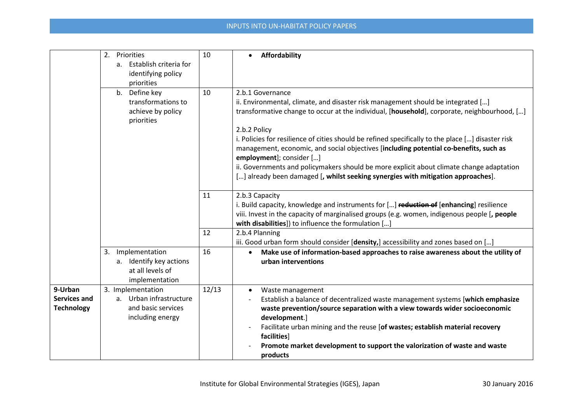|                                                     | 2. Priorities<br>a. Establish criteria for<br>identifying policy<br>priorities         | 10    | Affordability<br>$\bullet$                                                                                                                                                                                                                                                                                                                                                                                                                                                                                                                                                                                                    |
|-----------------------------------------------------|----------------------------------------------------------------------------------------|-------|-------------------------------------------------------------------------------------------------------------------------------------------------------------------------------------------------------------------------------------------------------------------------------------------------------------------------------------------------------------------------------------------------------------------------------------------------------------------------------------------------------------------------------------------------------------------------------------------------------------------------------|
|                                                     | b. Define key<br>transformations to<br>achieve by policy<br>priorities                 | 10    | 2.b.1 Governance<br>ii. Environmental, climate, and disaster risk management should be integrated []<br>transformative change to occur at the individual, [household], corporate, neighbourhood, []<br>2.b.2 Policy<br>i. Policies for resilience of cities should be refined specifically to the place [] disaster risk<br>management, economic, and social objectives [including potential co-benefits, such as<br>employment]; consider []<br>ii. Governments and policymakers should be more explicit about climate change adaptation<br>[] already been damaged [, whilst seeking synergies with mitigation approaches]. |
|                                                     |                                                                                        | 11    | 2.b.3 Capacity<br>i. Build capacity, knowledge and instruments for [] reduction of [enhancing] resilience<br>viii. Invest in the capacity of marginalised groups (e.g. women, indigenous people [, people<br>with disabilities]) to influence the formulation []                                                                                                                                                                                                                                                                                                                                                              |
|                                                     |                                                                                        | 12    | 2.b.4 Planning<br>iii. Good urban form should consider [density,] accessibility and zones based on []                                                                                                                                                                                                                                                                                                                                                                                                                                                                                                                         |
|                                                     | Implementation<br>3.<br>a. Identify key actions<br>at all levels of<br>implementation  | 16    | Make use of information-based approaches to raise awareness about the utility of<br>urban interventions                                                                                                                                                                                                                                                                                                                                                                                                                                                                                                                       |
| 9-Urban<br><b>Services and</b><br><b>Technology</b> | 3. Implementation<br>a. Urban infrastructure<br>and basic services<br>including energy | 12/13 | Waste management<br>$\bullet$<br>Establish a balance of decentralized waste management systems [which emphasize<br>waste prevention/source separation with a view towards wider socioeconomic<br>development.]<br>Facilitate urban mining and the reuse [of wastes; establish material recovery<br>facilities]<br>Promote market development to support the valorization of waste and waste<br>products                                                                                                                                                                                                                       |